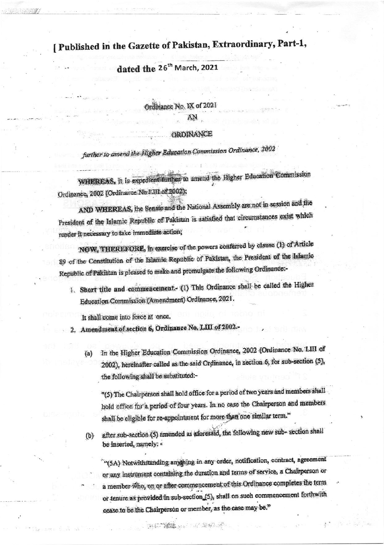## [ Published in the Gazette of Pakistan, Extraordinary, Part-1,

### dated the 26<sup>th</sup> March, 2021

## Ordbiance No. IX of 2021

#### **ORDINANCE**

further to amend the Higher Education Commission Ordinance, 2002

WHEREAS, it is expedient further to amend the Higher Education Commission Ordinance, 2002 (Ordinance No LIII of 2002);

AND WHEREAS, the Senate and the National Assembly are not in session and the President of the Islamic Republic of Pakistan is satisfied that circumstances exist which render it necessary to take immediate action;

NOW, THEREFORE, in exercise of the powers conferred by clause (1) of Article 89 of the Constitution of the Islamic Republic of Pakistan, the President of the Islamic Republic of Pakistan is pleased to make and promulgate the following Ordinance:-

1. Short title and commencement. (1) This Ordinance shall be called the Higher Education Commission (Amendment) Ordinance, 2021.

It shall come into force at once.

- Amendment of section 6, Ordinance No. LIII of 2002.-
	- In the Higher Education Commission Ordinance, 2002 (Ordinance No. LIII of  $(a)$ 2002), hereinafter called as the said Ordinance, in section 6, for sub-section (5), the following shall be substituted:-

"(5) The Chairperson shall hold office for a period of two years and members shall hold office for a period of four years. In no case the Chairperson and members shall be eligible for re-appointment for more than one similar term."

after sub-section (5) amended as a foresaid, the following new sub- section shall  $(b)$ be inserted, namely: -

"(5A) Notwithstanding anything in any order, notification, contract, agreement or any instrument containing the duration and terms of service, a Chairperson or a member who, on or after commencement of this Ordinance completes the term or tenure as provided in sub-section (5), shall on such commencement forthwith cease to be the Chairperson or member, as the case may be."

**第二、清理** 1998年1月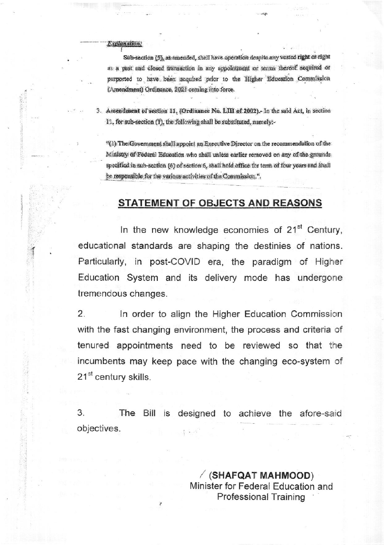#### Explan

Sub-section (5), as amended, shall have operation despite any vested right or right as a past and closed transaction in any appointment or terms thereof acquired or purported to have been acquired prior to the Higher Education Commission (Amendment) Ordinance, 2021 coming into force.

3. Amendment of section 11, (Ordinance No. LIII of 2002). In the said Act, in section 11, for sub-section (1), the following shall be substituted, namely:-

"(1) The Government shall appoint an Executive Director on the recommendation of the Ministry of Federal Education who shall unless earlier removed on any of the grounds specified in sub-section (6) of section 6, shall hold office for term of four years and shall be responsible for the various activities of the Commission.".

### **STATEMENT OF OBJECTS AND REASONS**

In the new knowledge economies of 21<sup>st</sup> Century, educational standards are shaping the destinies of nations. Particularly, in post-COVID era, the paradigm of Higher Education System and its delivery mode has undergone tremendous changes.

 $2.$ In order to align the Higher Education Commission with the fast changing environment, the process and criteria of tenured appointments need to be reviewed so that the incumbents may keep pace with the changing eco-system of 21<sup>st</sup> century skills.

3. Bill is designed to achieve the afore-said The objectives.

> (SHAFQAT MAHMOOD) Minister for Federal Education and **Professional Training**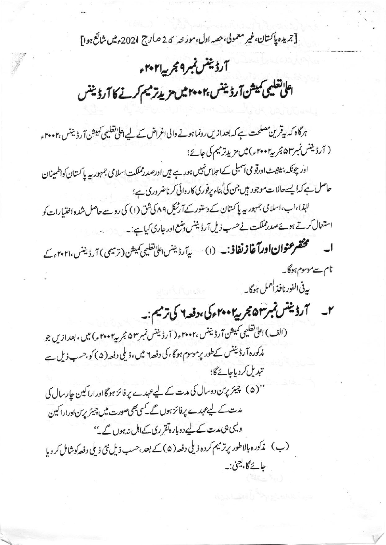[جريده پاکستان،غير معمولي،حصه اول،مورنجه 26 صارج 2021ء ميں شائع ہوا]

# آرڈیننس نمبر9 مجربیہا۲۰۲ اعلى تعليمى كميش آردنينس، ٢٠٠٢ تيل مريد ترميم كرنے كا آردنينس

ہرگاہ کہ بیقرین مصلحت ہے کہ بعدازیں رونما ہونے والی اغراض کے لیے اعلیٰ تعلیمی کمیش آرڈیننس ،۲۰۰۲ء (آرڈیننس نمبر۵۴ مجریہ ۲۰۰۲ء) میں مزید ترمیم کی جائے؛

اور چونکہ، بینیٹ اورقو می آسبلی کے اجلاس نہیں ہور ہے ہیں اورصدرمملکت اسلامی جمہور بیہ پا کستان کواظمینان حاصل ہے کہ ایسے حالات موجود ہیں جن کی ٌ بناء پرفوری کاروائی کرناضروری ہے؛

لہٰذا،اب،اسلامی جمہور پہ پاکستان کے دستور کے آرٹیکل ۸۹ کی ثق (۱) کی رو سے حاصل شدہ اختیارات کو استعال کرتے ہوئےصدرمملکت نےحسب ذیل آرڈینٹس وشع اور جاری کیاہے:۔

مختصر عنوان اورآغازنغاذ:۔ (۱) سپڌرڈینس اعلیٰ تغلیمی کمیشن(ترمیمی) آرڈیننس،۲۰۲۱ میر نام سے موسوم ہوگا۔

بدفي الفورنافذ العمل ہوگا۔

# ۲۔ آرڈیننس نمبر ۵۳ مجریه ۲۰۰۲ء کی، دفعہ ۲ کی ترمیم:۔

(الف) اعلىٰ تعليمي كميش آردُ يننس ،٢٠٠٢ و ( آردُ يننس نمبر ٥٣ % يه ٢٠٠٢ ) ميں ، بعد از يں جو مذکورہ آرڈیننس کےطور پرموسوم ہوگا، کی دفعہ ۲ میں، ذیلی دفعہ(۵) کو،حسب ذیل سے تېدىل كرد باھائےگا؛

''(۵) چیئر پرسن دوسال کی مدت کے لیے عہدے پر فائز ہوگااوراراکین جارسال کی مدت کے لیے عہدے پرفائز ہوں گے کسی بھی صورت میں چیئریرس اوراراکین ویسی ہی مدت کے لیے دوبارہ تقرری کے اہل نہ ہوں گے۔'' (ب) ، مذكوره بالاطور پرترميم كرده ذيلي دفعه (۵) كے بعد ،حسب ذيل نئي ذيلي دفعه كوشامل كر ديا حائے گا، یعنی:۔